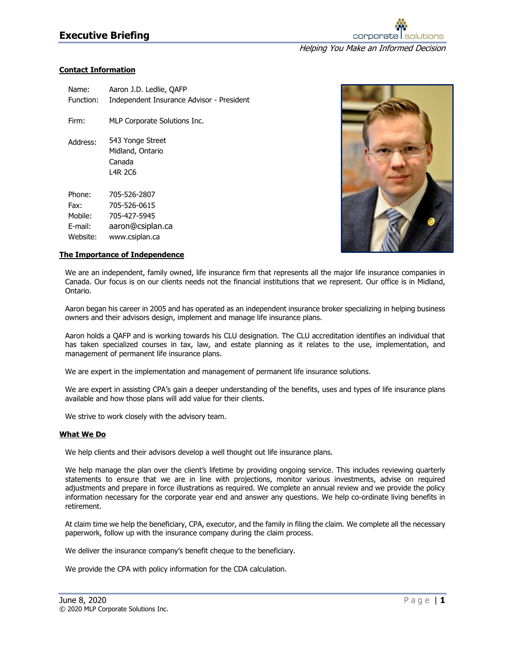# **Executive Briefing**



# **Contact Information**

| Name:     | Aaron J.D. Ledlie, QAFP                                   |
|-----------|-----------------------------------------------------------|
| Function: | Independent Insurance Advisor - President                 |
| Firm:     | MLP Corporate Solutions Inc.                              |
| Address:  | 543 Yonge Street<br>Midland, Ontario<br>Canada<br>L4R 2C6 |
| Phone:    | 705-526-2807                                              |
| Fax:      | 705-526-0615                                              |
| Mobile:   | 705-427-5945                                              |
| E-mail:   | aaron@csiplan.ca                                          |
| Website:  | www.csiplan.ca                                            |



### **The Importance of Independence**

We are an independent, family owned, life insurance firm that represents all the major life insurance companies in Canada. Our focus is on our clients needs not the financial institutions that we represent. Our office is in Midland, Ontario.

Aaron began his career in 2005 and has operated as an independent insurance broker specializing in helping business owners and their advisors design, implement and manage life insurance plans.

Aaron holds a QAFP and is working towards his CLU designation. The CLU accreditation identifies an individual that has taken specialized courses in tax, law, and estate planning as it relates to the use, implementation, and management of permanent life insurance plans.

We are expert in the implementation and management of permanent life insurance solutions.

We are expert in assisting CPA's gain a deeper understanding of the benefits, uses and types of life insurance plans available and how those plans will add value for their clients.

We strive to work closely with the advisory team.

#### **What We Do**

We help clients and their advisors develop a well thought out life insurance plans.

We help manage the plan over the client's lifetime by providing ongoing service. This includes reviewing quarterly statements to ensure that we are in line with projections, monitor various investments, advise on required adjustments and prepare in force illustrations as required. We complete an annual review and we provide the policy information necessary for the corporate year end and answer any questions. We help co-ordinate living benefits in retirement.

At claim time we help the beneficiary, CPA, executor, and the family in filing the claim. We complete all the necessary paperwork, follow up with the insurance company during the claim process.

We deliver the insurance company's benefit cheque to the beneficiary.

We provide the CPA with policy information for the CDA calculation.